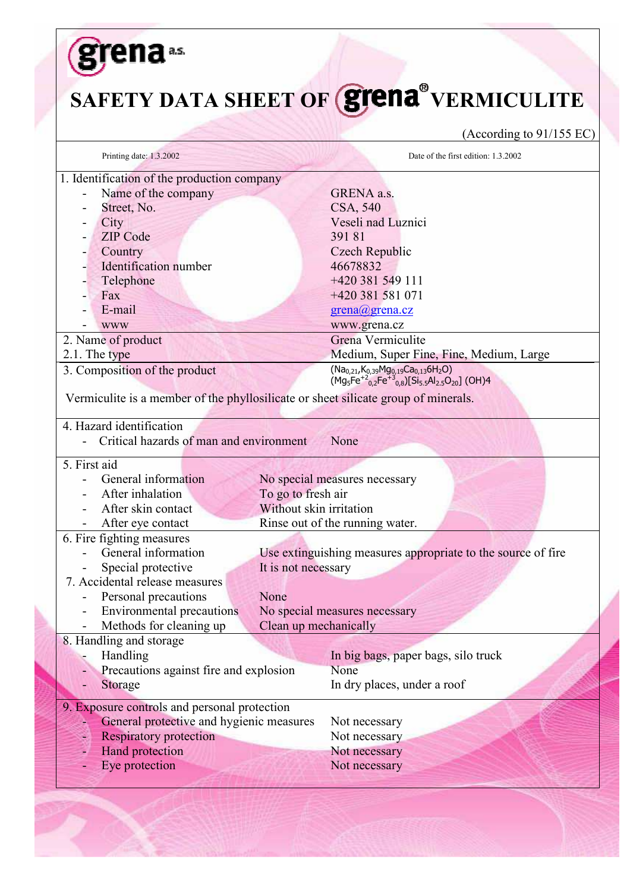|                                                                                                                                                                                                                         | SAFETY DATA SHEET OF <b>grena</b> VERMICULITE<br>(According to $91/155$ EC)                                                                                                                      |
|-------------------------------------------------------------------------------------------------------------------------------------------------------------------------------------------------------------------------|--------------------------------------------------------------------------------------------------------------------------------------------------------------------------------------------------|
| Printing date: 1.3.2002                                                                                                                                                                                                 | Date of the first edition: 1.3.2002                                                                                                                                                              |
| 1. Identification of the production company                                                                                                                                                                             |                                                                                                                                                                                                  |
| Name of the company<br>Street, No.                                                                                                                                                                                      | GRENA a.s.<br>CSA, 540                                                                                                                                                                           |
| City                                                                                                                                                                                                                    | Veseli nad Luznici                                                                                                                                                                               |
| <b>ZIP</b> Code                                                                                                                                                                                                         | 39181                                                                                                                                                                                            |
| Country<br>-                                                                                                                                                                                                            | Czech Republic                                                                                                                                                                                   |
| Identification number                                                                                                                                                                                                   | 46678832                                                                                                                                                                                         |
| Telephone                                                                                                                                                                                                               | +420 381 549 111                                                                                                                                                                                 |
| Fax                                                                                                                                                                                                                     | +420 381 581 071                                                                                                                                                                                 |
| E-mail                                                                                                                                                                                                                  | grena@grena.cz                                                                                                                                                                                   |
| <b>WWW</b>                                                                                                                                                                                                              | www.grena.cz                                                                                                                                                                                     |
| 2. Name of product                                                                                                                                                                                                      | Grena Vermiculite                                                                                                                                                                                |
| 2.1. The type                                                                                                                                                                                                           | Medium, Super Fine, Fine, Medium, Large                                                                                                                                                          |
| 3. Composition of the product                                                                                                                                                                                           | $(Na_{0,21}, K_{0,39}Mg_{0,19}Ca_{0,13}6H_2O)$<br>(Mg <sub>5</sub> Fe <sup>+2</sup> <sub>0,2</sub> Fe <sup>+3</sup> <sub>0,8</sub> )[Si <sub>5.5</sub> Al <sub>2.5</sub> O <sub>20</sub> ] (OH)4 |
| Critical hazards of man and environment                                                                                                                                                                                 | None                                                                                                                                                                                             |
| General information                                                                                                                                                                                                     |                                                                                                                                                                                                  |
| After inhalation                                                                                                                                                                                                        | No special measures necessary<br>To go to fresh air                                                                                                                                              |
| After skin contact                                                                                                                                                                                                      | Without skin irritation                                                                                                                                                                          |
| After eye contact                                                                                                                                                                                                       | Rinse out of the running water.                                                                                                                                                                  |
|                                                                                                                                                                                                                         |                                                                                                                                                                                                  |
| General information                                                                                                                                                                                                     | Use extinguishing measures appropriate to the source of fire                                                                                                                                     |
| Special protective                                                                                                                                                                                                      | It is not necessary                                                                                                                                                                              |
|                                                                                                                                                                                                                         |                                                                                                                                                                                                  |
| Personal precautions                                                                                                                                                                                                    | None                                                                                                                                                                                             |
| <b>Environmental precautions</b>                                                                                                                                                                                        | No special measures necessary                                                                                                                                                                    |
| Methods for cleaning up                                                                                                                                                                                                 | Clean up mechanically                                                                                                                                                                            |
|                                                                                                                                                                                                                         |                                                                                                                                                                                                  |
| Handling                                                                                                                                                                                                                | In big bags, paper bags, silo truck                                                                                                                                                              |
| Precautions against fire and explosion                                                                                                                                                                                  | None                                                                                                                                                                                             |
| Storage                                                                                                                                                                                                                 | In dry places, under a roof                                                                                                                                                                      |
|                                                                                                                                                                                                                         |                                                                                                                                                                                                  |
| General protective and hygienic measures                                                                                                                                                                                | Not necessary                                                                                                                                                                                    |
| <b>Respiratory protection</b>                                                                                                                                                                                           | Not necessary                                                                                                                                                                                    |
| 4. Hazard identification<br>5. First aid<br>6. Fire fighting measures<br>7. Accidental release measures<br>8. Handling and storage<br>9. Exposure controls and personal protection<br>Hand protection<br>Eye protection | Not necessary<br>Not necessary                                                                                                                                                                   |